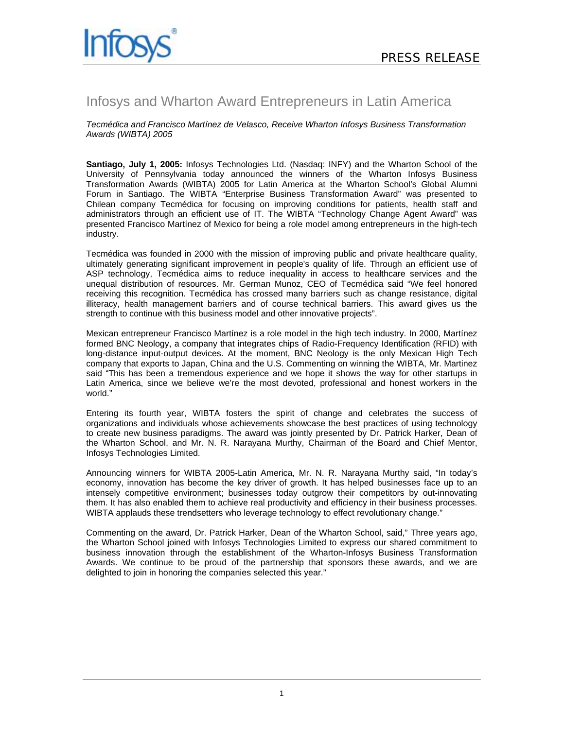

# Infosys and Wharton Award Entrepreneurs in Latin America

*Tecmédica and Francisco Martínez de Velasco, Receive Wharton Infosys Business Transformation Awards (WIBTA) 2005* 

**Santiago, July 1, 2005:** Infosys Technologies Ltd. (Nasdaq: INFY) and the Wharton School of the University of Pennsylvania today announced the winners of the Wharton Infosys Business Transformation Awards (WIBTA) 2005 for Latin America at the Wharton School's Global Alumni Forum in Santiago. The WIBTA "Enterprise Business Transformation Award" was presented to Chilean company Tecmédica for focusing on improving conditions for patients, health staff and administrators through an efficient use of IT. The WIBTA "Technology Change Agent Award" was presented Francisco Martínez of Mexico for being a role model among entrepreneurs in the high-tech industry.

Tecmédica was founded in 2000 with the mission of improving public and private healthcare quality, ultimately generating significant improvement in people's quality of life. Through an efficient use of ASP technology, Tecmédica aims to reduce inequality in access to healthcare services and the unequal distribution of resources. Mr. German Munoz, CEO of Tecmédica said "We feel honored receiving this recognition. Tecmédica has crossed many barriers such as change resistance, digital illiteracy, health management barriers and of course technical barriers. This award gives us the strength to continue with this business model and other innovative projects".

Mexican entrepreneur Francisco Martínez is a role model in the high tech industry. In 2000, Martínez formed BNC Neology, a company that integrates chips of Radio-Frequency Identification (RFID) with long-distance input-output devices. At the moment, BNC Neology is the only Mexican High Tech company that exports to Japan, China and the U.S. Commenting on winning the WIBTA, Mr. Martinez said "This has been a tremendous experience and we hope it shows the way for other startups in Latin America, since we believe we're the most devoted, professional and honest workers in the world."

Entering its fourth year, WIBTA fosters the spirit of change and celebrates the success of organizations and individuals whose achievements showcase the best practices of using technology to create new business paradigms. The award was jointly presented by Dr. Patrick Harker, Dean of the Wharton School, and Mr. N. R. Narayana Murthy, Chairman of the Board and Chief Mentor, Infosys Technologies Limited.

Announcing winners for WIBTA 2005-Latin America, Mr. N. R. Narayana Murthy said, "In today's economy, innovation has become the key driver of growth. It has helped businesses face up to an intensely competitive environment; businesses today outgrow their competitors by out-innovating them. It has also enabled them to achieve real productivity and efficiency in their business processes. WIBTA applauds these trendsetters who leverage technology to effect revolutionary change."

Commenting on the award, Dr. Patrick Harker, Dean of the Wharton School, said," Three years ago, the Wharton School joined with Infosys Technologies Limited to express our shared commitment to business innovation through the establishment of the Wharton-Infosys Business Transformation Awards. We continue to be proud of the partnership that sponsors these awards, and we are delighted to join in honoring the companies selected this year."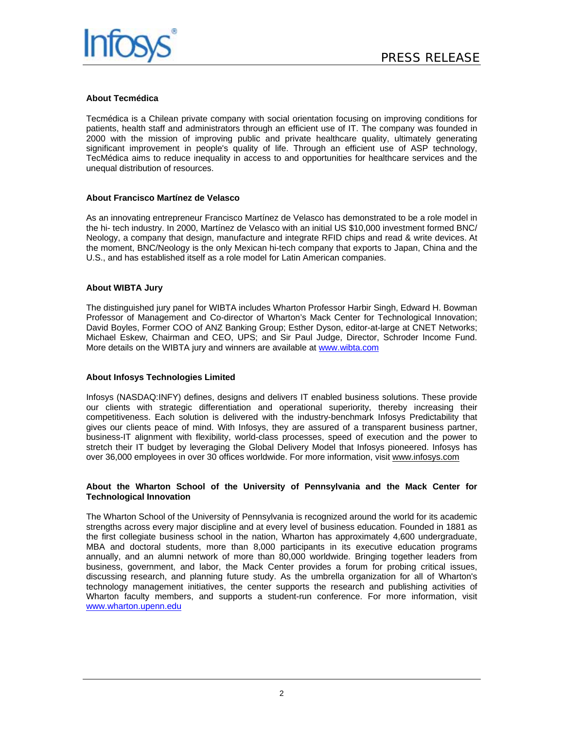

### **About Tecmédica**

Tecmédica is a Chilean private company with social orientation focusing on improving conditions for patients, health staff and administrators through an efficient use of IT. The company was founded in 2000 with the mission of improving public and private healthcare quality, ultimately generating significant improvement in people's quality of life. Through an efficient use of ASP technology, TecMédica aims to reduce inequality in access to and opportunities for healthcare services and the unequal distribution of resources.

#### **About Francisco Martínez de Velasco**

As an innovating entrepreneur Francisco Martínez de Velasco has demonstrated to be a role model in the hi- tech industry. In 2000, Martínez de Velasco with an initial US \$10,000 investment formed BNC/ Neology, a company that design, manufacture and integrate RFID chips and read & write devices. At the moment, BNC/Neology is the only Mexican hi-tech company that exports to Japan, China and the U.S., and has established itself as a role model for Latin American companies.

#### **About WIBTA Jury**

The distinguished jury panel for WIBTA includes Wharton Professor Harbir Singh, Edward H. Bowman Professor of Management and Co-director of Wharton's Mack Center for Technological Innovation; David Boyles, Former COO of ANZ Banking Group; Esther Dyson, editor-at-large at CNET Networks; Michael Eskew, Chairman and CEO, UPS; and Sir Paul Judge, Director, Schroder Income Fund. More details on the WIBTA jury and winners are available at www.wibta.com

## **About Infosys Technologies Limited**

Infosys (NASDAQ:INFY) defines, designs and delivers IT enabled business solutions. These provide our clients with strategic differentiation and operational superiority, thereby increasing their competitiveness. Each solution is delivered with the industry-benchmark Infosys Predictability that gives our clients peace of mind. With Infosys, they are assured of a transparent business partner, business-IT alignment with flexibility, world-class processes, speed of execution and the power to stretch their IT budget by leveraging the Global Delivery Model that Infosys pioneered. Infosys has over 36,000 employees in over 30 offices worldwide. For more information, visit www.infosys.com

#### **About the Wharton School of the University of Pennsylvania and the Mack Center for Technological Innovation**

The Wharton School of the University of Pennsylvania is recognized around the world for its academic strengths across every major discipline and at every level of business education. Founded in 1881 as the first collegiate business school in the nation, Wharton has approximately 4,600 undergraduate, MBA and doctoral students, more than 8,000 participants in its executive education programs annually, and an alumni network of more than 80,000 worldwide. Bringing together leaders from business, government, and labor, the Mack Center provides a forum for probing critical issues, discussing research, and planning future study. As the umbrella organization for all of Wharton's technology management initiatives, the center supports the research and publishing activities of Wharton faculty members, and supports a student-run conference. For more information, visit www.wharton.upenn.edu